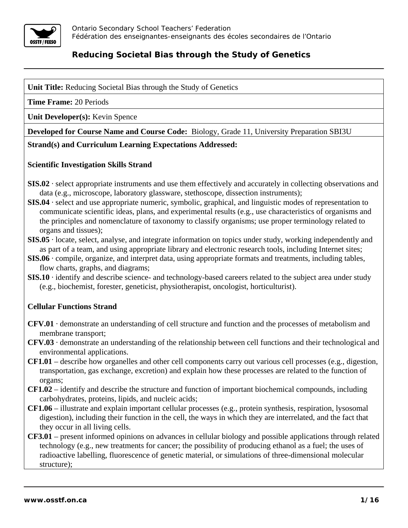

**Unit Title:** Reducing Societal Bias through the Study of Genetics

**Time Frame:** 20 Periods

**Unit Developer(s):** Kevin Spence

**Developed for Course Name and Course Code:** Biology, Grade 11, University Preparation SBI3U

**Strand(s) and Curriculum Learning Expectations Addressed:**

#### **Scientific Investigation Skills Strand**

- **SIS.02** · select appropriate instruments and use them effectively and accurately in collecting observations and data (e.g., microscope, laboratory glassware, stethoscope, dissection instruments);
- **SIS.04** · select and use appropriate numeric, symbolic, graphical, and linguistic modes of representation to communicate scientific ideas, plans, and experimental results (e.g., use characteristics of organisms and the principles and nomenclature of taxonomy to classify organisms; use proper terminology related to organs and tissues);
- **SIS.05** · locate, select, analyse, and integrate information on topics under study, working independently and as part of a team, and using appropriate library and electronic research tools, including Internet sites;
- **SIS.06** · compile, organize, and interpret data, using appropriate formats and treatments, including tables, flow charts, graphs, and diagrams;
- **SIS.10** · identify and describe science- and technology-based careers related to the subject area under study (e.g., biochemist, forester, geneticist, physiotherapist, oncologist, horticulturist).

### **Cellular Functions Strand**

- **CFV.01** · demonstrate an understanding of cell structure and function and the processes of metabolism and membrane transport;
- **CFV.03** · demonstrate an understanding of the relationship between cell functions and their technological and environmental applications.
- **CF1.01** describe how organelles and other cell components carry out various cell processes (e.g., digestion, transportation, gas exchange, excretion) and explain how these processes are related to the function of organs;
- **CF1.02** identify and describe the structure and function of important biochemical compounds, including carbohydrates, proteins, lipids, and nucleic acids;
- **CF1.06** illustrate and explain important cellular processes (e.g., protein synthesis, respiration, lysosomal digestion), including their function in the cell, the ways in which they are interrelated, and the fact that they occur in all living cells.
- **CF3.01** present informed opinions on advances in cellular biology and possible applications through related technology (e.g., new treatments for cancer; the possibility of producing ethanol as a fuel; the uses of radioactive labelling, fluorescence of genetic material, or simulations of three-dimensional molecular structure);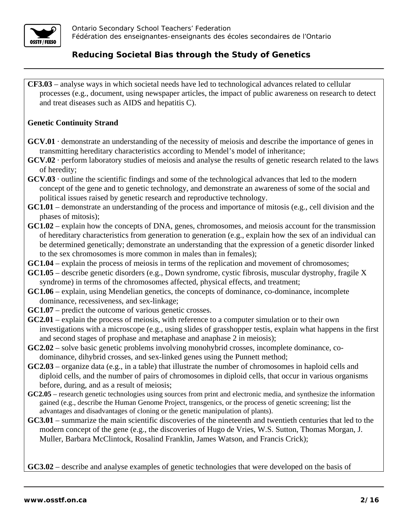

**CF3.03** – analyse ways in which societal needs have led to technological advances related to cellular processes (e.g., document, using newspaper articles, the impact of public awareness on research to detect and treat diseases such as AIDS and hepatitis C).

### **Genetic Continuity Strand**

- **GCV.01** · demonstrate an understanding of the necessity of meiosis and describe the importance of genes in transmitting hereditary characteristics according to Mendel's model of inheritance;
- **GCV.02** · perform laboratory studies of meiosis and analyse the results of genetic research related to the laws of heredity;
- **GCV.03** · outline the scientific findings and some of the technological advances that led to the modern concept of the gene and to genetic technology, and demonstrate an awareness of some of the social and political issues raised by genetic research and reproductive technology.
- **GC1.01** demonstrate an understanding of the process and importance of mitosis (e.g., cell division and the phases of mitosis);
- **GC1.02** explain how the concepts of DNA, genes, chromosomes, and meiosis account for the transmission of hereditary characteristics from generation to generation (e.g., explain how the sex of an individual can be determined genetically; demonstrate an understanding that the expression of a genetic disorder linked to the sex chromosomes is more common in males than in females);
- **GC1.04** explain the process of meiosis in terms of the replication and movement of chromosomes;
- **GC1.05** describe genetic disorders (e.g., Down syndrome, cystic fibrosis, muscular dystrophy, fragile X syndrome) in terms of the chromosomes affected, physical effects, and treatment;
- **GC1.06** explain, using Mendelian genetics, the concepts of dominance, co-dominance, incomplete dominance, recessiveness, and sex-linkage;
- **GC1.07** predict the outcome of various genetic crosses.
- **GC2.01** explain the process of meiosis, with reference to a computer simulation or to their own investigations with a microscope (e.g., using slides of grasshopper testis, explain what happens in the first and second stages of prophase and metaphase and anaphase 2 in meiosis);
- **GC2.02** solve basic genetic problems involving monohybrid crosses, incomplete dominance, codominance, dihybrid crosses, and sex-linked genes using the Punnett method;
- **GC2.03** organize data (e.g., in a table) that illustrate the number of chromosomes in haploid cells and diploid cells, and the number of pairs of chromosomes in diploid cells, that occur in various organisms before, during, and as a result of meiosis;
- **GC2.05** research genetic technologies using sources from print and electronic media, and synthesize the information gained (e.g., describe the Human Genome Project, transgenics, or the process of genetic screening; list the advantages and disadvantages of cloning or the genetic manipulation of plants).
- **GC3.01** summarize the main scientific discoveries of the nineteenth and twentieth centuries that led to the modern concept of the gene (e.g., the discoveries of Hugo de Vries, W.S. Sutton, Thomas Morgan, J. Muller, Barbara McClintock, Rosalind Franklin, James Watson, and Francis Crick);

**GC3.02** – describe and analyse examples of genetic technologies that were developed on the basis of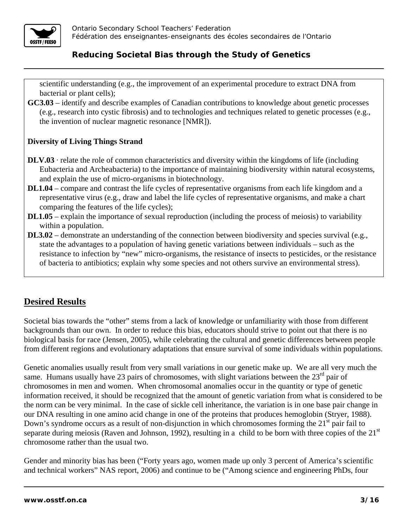

scientific understanding (e.g., the improvement of an experimental procedure to extract DNA from bacterial or plant cells);

**GC3.03** – identify and describe examples of Canadian contributions to knowledge about genetic processes (e.g., research into cystic fibrosis) and to technologies and techniques related to genetic processes (e.g., the invention of nuclear magnetic resonance [NMR]).

### **Diversity of Living Things Strand**

- **DLV.03** · relate the role of common characteristics and diversity within the kingdoms of life (including Eubacteria and Archeabacteria) to the importance of maintaining biodiversity within natural ecosystems, and explain the use of micro-organisms in biotechnology.
- **DL1.04** compare and contrast the life cycles of representative organisms from each life kingdom and a representative virus (e.g., draw and label the life cycles of representative organisms, and make a chart comparing the features of the life cycles);
- **DL1.05** explain the importance of sexual reproduction (including the process of meiosis) to variability within a population.
- **DL3.02** demonstrate an understanding of the connection between biodiversity and species survival (e.g., state the advantages to a population of having genetic variations between individuals – such as the resistance to infection by "new" micro-organisms, the resistance of insects to pesticides, or the resistance of bacteria to antibiotics; explain why some species and not others survive an environmental stress).

# **Desired Results**

Societal bias towards the "other" stems from a lack of knowledge or unfamiliarity with those from different backgrounds than our own. In order to reduce this bias, educators should strive to point out that there is no biological basis for race (Jensen, 2005), while celebrating the cultural and genetic differences between people from different regions and evolutionary adaptations that ensure survival of some individuals within populations.

Genetic anomalies usually result from very small variations in our genetic make up. We are all very much the same. Humans usually have 23 pairs of chromosomes, with slight variations between the  $23<sup>rd</sup>$  pair of chromosomes in men and women. When chromosomal anomalies occur in the quantity or type of genetic information received, it should be recognized that the amount of genetic variation from what is considered to be the norm can be very minimal. In the case of sickle cell inheritance, the variation is in one base pair change in our DNA resulting in one amino acid change in one of the proteins that produces hemoglobin (Stryer, 1988). Down's syndrome occurs as a result of non-disjunction in which chromosomes forming the  $21<sup>st</sup>$  pair fail to separate during meiosis (Raven and Johnson, 1992), resulting in a child to be born with three copies of the  $21<sup>st</sup>$ chromosome rather than the usual two.

Gender and minority bias has been ("Forty years ago, women made up only 3 percent of America's scientific and technical workers" NAS report, 2006) and continue to be ("Among science and engineering PhDs, four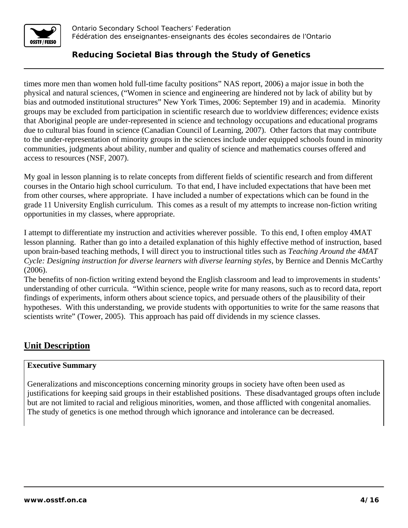

times more men than women hold full-time faculty positions" NAS report, 2006) a major issue in both the physical and natural sciences, ("Women in science and engineering are hindered not by lack of ability but by bias and outmoded institutional structures" New York Times, 2006: September 19) and in academia. Minority groups may be excluded from participation in scientific research due to worldview differences; evidence exists that Aboriginal people are under-represented in science and technology occupations and educational programs due to cultural bias found in science (Canadian Council of Learning, 2007). Other factors that may contribute to the under-representation of minority groups in the sciences include under equipped schools found in minority communities, judgments about ability, number and quality of science and mathematics courses offered and access to resources (NSF, 2007).

My goal in lesson planning is to relate concepts from different fields of scientific research and from different courses in the Ontario high school curriculum. To that end, I have included expectations that have been met from other courses, where appropriate. I have included a number of expectations which can be found in the grade 11 University English curriculum. This comes as a result of my attempts to increase non-fiction writing opportunities in my classes, where appropriate.

I attempt to differentiate my instruction and activities wherever possible. To this end, I often employ 4MAT lesson planning. Rather than go into a detailed explanation of this highly effective method of instruction, based upon brain-based teaching methods, I will direct you to instructional titles such as *Teaching Around the 4MAT Cycle: Designing instruction for diverse learners with diverse learning styles,* by Bernice and Dennis McCarthy (2006).

The benefits of non-fiction writing extend beyond the English classroom and lead to improvements in students' understanding of other curricula. "Within science, people write for many reasons, such as to record data, report findings of experiments, inform others about science topics, and persuade others of the plausibility of their hypotheses. With this understanding, we provide students with opportunities to write for the same reasons that scientists write" (Tower, 2005). This approach has paid off dividends in my science classes.

# **Unit Description**

### **Executive Summary**

Generalizations and misconceptions concerning minority groups in society have often been used as justifications for keeping said groups in their established positions. These disadvantaged groups often include but are not limited to racial and religious minorities, women, and those afflicted with congenital anomalies. The study of genetics is one method through which ignorance and intolerance can be decreased.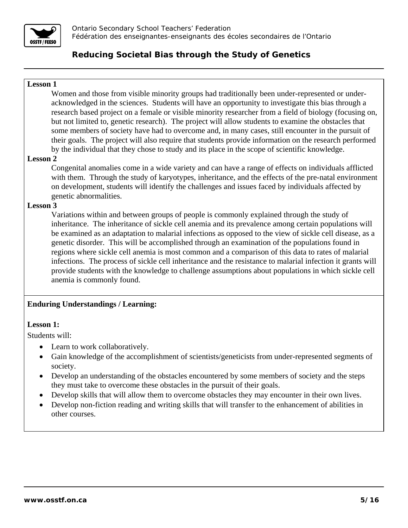

#### **Lesson 1**

Women and those from visible minority groups had traditionally been under-represented or underacknowledged in the sciences. Students will have an opportunity to investigate this bias through a research based project on a female or visible minority researcher from a field of biology (focusing on, but not limited to, genetic research). The project will allow students to examine the obstacles that some members of society have had to overcome and, in many cases, still encounter in the pursuit of their goals. The project will also require that students provide information on the research performed by the individual that they chose to study and its place in the scope of scientific knowledge.

#### **Lesson 2**

Congenital anomalies come in a wide variety and can have a range of effects on individuals afflicted with them. Through the study of karyotypes, inheritance, and the effects of the pre-natal environment on development, students will identify the challenges and issues faced by individuals affected by genetic abnormalities.

#### **Lesson 3**

Variations within and between groups of people is commonly explained through the study of inheritance. The inheritance of sickle cell anemia and its prevalence among certain populations will be examined as an adaptation to malarial infections as opposed to the view of sickle cell disease, as a genetic disorder. This will be accomplished through an examination of the populations found in regions where sickle cell anemia is most common and a comparison of this data to rates of malarial infections. The process of sickle cell inheritance and the resistance to malarial infection it grants will provide students with the knowledge to challenge assumptions about populations in which sickle cell anemia is commonly found.

### **Enduring Understandings / Learning:**

### **Lesson 1:**

Students will:

- Learn to work collaboratively.
- Gain knowledge of the accomplishment of scientists/geneticists from under-represented segments of society.
- Develop an understanding of the obstacles encountered by some members of society and the steps they must take to overcome these obstacles in the pursuit of their goals.
- Develop skills that will allow them to overcome obstacles they may encounter in their own lives.
- Develop non-fiction reading and writing skills that will transfer to the enhancement of abilities in other courses.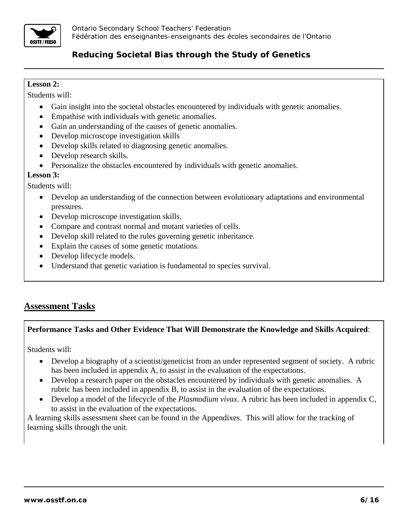

#### **Lesson 2:**

Students will:

- Gain insight into the societal obstacles encountered by individuals with genetic anomalies.
- Empathise with individuals with genetic anomalies.
- Gain an understanding of the causes of genetic anomalies.
- Develop microscope investigation skills
- Develop skills related to diagnosing genetic anomalies.
- Develop research skills.
- Personalize the obstacles encountered by individuals with genetic anomalies.

### **Lesson 3:**

Students will:

- Develop an understanding of the connection between evolutionary adaptations and environmental pressures.
- Develop microscope investigation skills.
- Compare and contrast normal and mutant varieties of cells.
- Develop skill related to the rules governing genetic inheritance.
- Explain the causes of some genetic mutations.
- Develop lifecycle models.
- Understand that genetic variation is fundamental to species survival.

# **Assessment Tasks**

### **Performance Tasks and Other Evidence That Will Demonstrate the Knowledge and Skills Acquired**:

Students will:

- Develop a biography of a scientist/geneticist from an under represented segment of society. A rubric has been included in appendix A, to assist in the evaluation of the expectations.
- Develop a research paper on the obstacles encountered by individuals with genetic anomalies. A rubric has been included in appendix B, to assist in the evaluation of the expectations.
- Develop a model of the lifecycle of the *Plasmodium vivax*. A rubric has been included in appendix C, to assist in the evaluation of the expectations.

A learning skills assessment sheet can be found in the Appendixes. This will allow for the tracking of learning skills through the unit.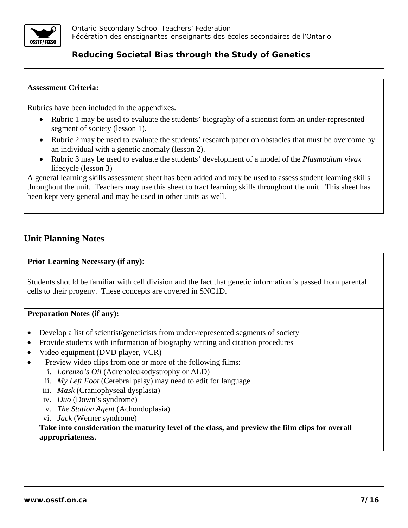

#### **Assessment Criteria:**

Rubrics have been included in the appendixes.

- Rubric 1 may be used to evaluate the students' biography of a scientist form an under-represented segment of society (lesson 1).
- Rubric 2 may be used to evaluate the students' research paper on obstacles that must be overcome by an individual with a genetic anomaly (lesson 2).
- Rubric 3 may be used to evaluate the students' development of a model of the *Plasmodium vivax* lifecycle (lesson 3)

A general learning skills assessment sheet has been added and may be used to assess student learning skills throughout the unit. Teachers may use this sheet to tract learning skills throughout the unit. This sheet has been kept very general and may be used in other units as well.

# **Unit Planning Notes**

#### **Prior Learning Necessary (if any)**:

Students should be familiar with cell division and the fact that genetic information is passed from parental cells to their progeny. These concepts are covered in SNC1D.

#### **Preparation Notes (if any):**

- Develop a list of scientist/geneticists from under-represented segments of society
- Provide students with information of biography writing and citation procedures
- Video equipment (DVD player, VCR)
- Preview video clips from one or more of the following films:
	- i. *Lorenzo's Oil* (Adrenoleukodystrophy or ALD)
	- ii. *My Left Foot* (Cerebral palsy) may need to edit for language
	- iii. *Mask* (Craniophyseal dysplasia)
	- iv. *Duo* (Down's syndrome)
	- v. *The Station Agent* (Achondoplasia)
	- vi. *Jack* (Werner syndrome)

**Take into consideration the maturity level of the class, and preview the film clips for overall appropriateness.**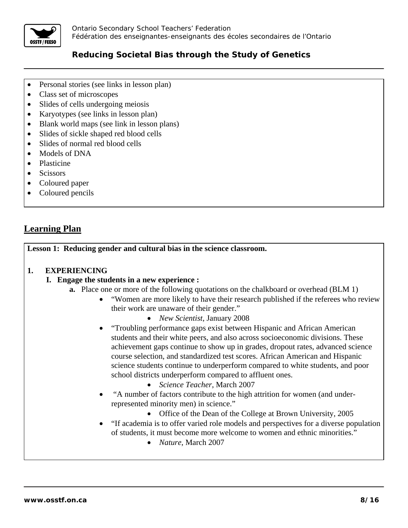

- Personal stories (see links in lesson plan)
- Class set of microscopes
- Slides of cells undergoing meiosis
- Karyotypes (see links in lesson plan)
- Blank world maps (see link in lesson plans)
- Slides of sickle shaped red blood cells
- Slides of normal red blood cells
- Models of DNA
- Plasticine
- Scissors
- Coloured paper
- Coloured pencils

# **Learning Plan**

#### **Lesson 1: Reducing gender and cultural bias in the science classroom.**

#### **1. EXPERIENCING**

### **I. Engage the students in a new experience :**

- **a.** Place one or more of the following quotations on the chalkboard or overhead (BLM 1)
	- "Women are more likely to have their research published if the referees who review their work are unaware of their gender."
		- *New Scientist*, January 2008
	- "Troubling performance gaps exist between Hispanic and African American students and their white peers, and also across socioeconomic divisions. These achievement gaps continue to show up in grades, dropout rates, advanced science course selection, and standardized test scores. African American and Hispanic science students continue to underperform compared to white students, and poor school districts underperform compared to affluent ones.
		- *Science Teacher*, March 2007
	- "A number of factors contribute to the high attrition for women (and underrepresented minority men) in science."
		- Office of the Dean of the College at Brown University, 2005
	- "If academia is to offer varied role models and perspectives for a diverse population of students, it must become more welcome to women and ethnic minorities."
		- *Nature*, March 2007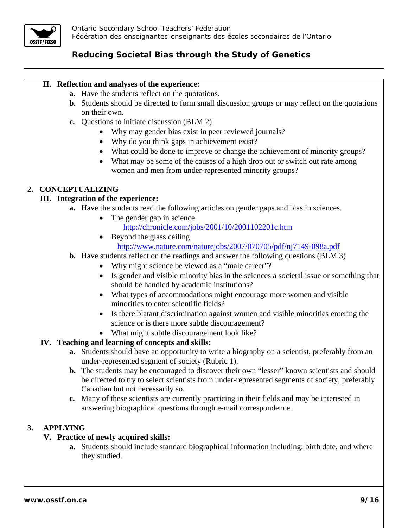

#### **II. Reflection and analyses of the experience:**

- **a.** Have the students reflect on the quotations.
- **b.** Students should be directed to form small discussion groups or may reflect on the quotations on their own.
- **c.** Questions to initiate discussion (BLM 2)
	- Why may gender bias exist in peer reviewed journals?
	- Why do you think gaps in achievement exist?
	- What could be done to improve or change the achievement of minority groups?
	- What may be some of the causes of a high drop out or switch out rate among women and men from under-represented minority groups?

#### **2. CONCEPTUALIZING**

#### **III. Integration of the experience:**

- **a.** Have the students read the following articles on gender gaps and bias in sciences.
	- The gender gap in science http://chronicle.com/jobs/2001/10/2001102201c.htm
	- Beyond the glass ceiling

http://www.nature.com/naturejobs/2007/070705/pdf/nj7149-098a.pdf

- **b.** Have students reflect on the readings and answer the following questions (BLM 3)
	- Why might science be viewed as a "male career"?
	- Is gender and visible minority bias in the sciences a societal issue or something that should be handled by academic institutions?
	- What types of accommodations might encourage more women and visible minorities to enter scientific fields?
	- Is there blatant discrimination against women and visible minorities entering the science or is there more subtle discouragement?
	- What might subtle discouragement look like?

### **IV. Teaching and learning of concepts and skills:**

- **a.** Students should have an opportunity to write a biography on a scientist, preferably from an under-represented segment of society (Rubric 1).
- **b.** The students may be encouraged to discover their own "lesser" known scientists and should be directed to try to select scientists from under-represented segments of society, preferably Canadian but not necessarily so.
- **c.** Many of these scientists are currently practicing in their fields and may be interested in answering biographical questions through e-mail correspondence.

### **3. APPLYING**

#### **V. Practice of newly acquired skills:**

**a.** Students should include standard biographical information including: birth date, and where they studied.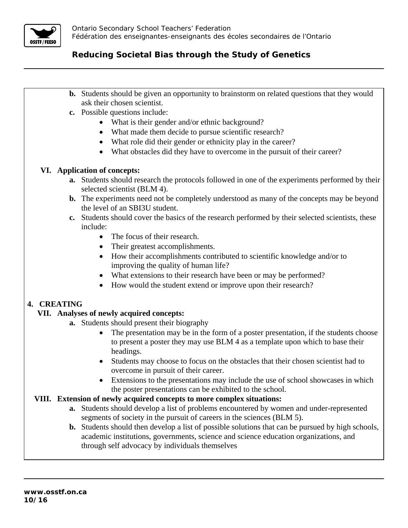

- **b.** Students should be given an opportunity to brainstorm on related questions that they would ask their chosen scientist.
- **c.** Possible questions include:
	- What is their gender and/or ethnic background?
	- What made them decide to pursue scientific research?
	- What role did their gender or ethnicity play in the career?
	- What obstacles did they have to overcome in the pursuit of their career?

### **VI. Application of concepts:**

- **a.** Students should research the protocols followed in one of the experiments performed by their selected scientist (BLM 4).
- **b.** The experiments need not be completely understood as many of the concepts may be beyond the level of an SBI3U student.
- **c.** Students should cover the basics of the research performed by their selected scientists, these include:
	- The focus of their research.
	- Their greatest accomplishments.
	- How their accomplishments contributed to scientific knowledge and/or to improving the quality of human life?
	- What extensions to their research have been or may be performed?
	- How would the student extend or improve upon their research?

### **4. CREATING**

### **VII. Analyses of newly acquired concepts:**

- **a.** Students should present their biography
	- The presentation may be in the form of a poster presentation, if the students choose to present a poster they may use BLM 4 as a template upon which to base their headings.
	- Students may choose to focus on the obstacles that their chosen scientist had to overcome in pursuit of their career.
	- Extensions to the presentations may include the use of school showcases in which the poster presentations can be exhibited to the school.

### **VIII. Extension of newly acquired concepts to more complex situations:**

- **a.** Students should develop a list of problems encountered by women and under-represented segments of society in the pursuit of careers in the sciences (BLM 5).
- **b.** Students should then develop a list of possible solutions that can be pursued by high schools, academic institutions, governments, science and science education organizations, and through self advocacy by individuals themselves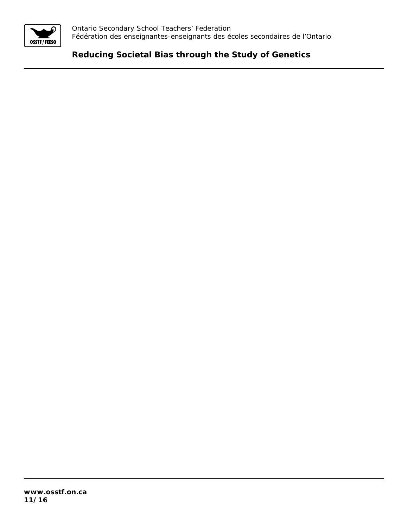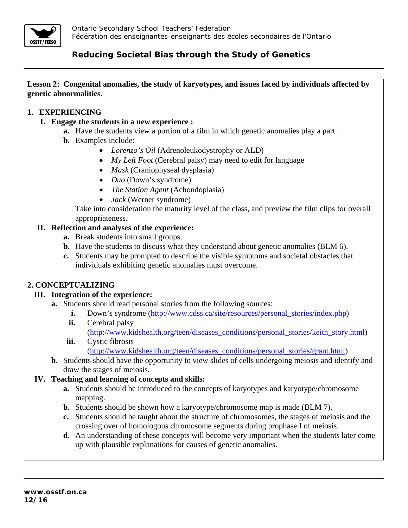

#### **Lesson 2: Congenital anomalies, the study of karyotypes, and issues faced by individuals affected by genetic abnormalities.**

### **1. EXPERIENCING**

- **I. Engage the students in a new experience :** 
	- **a.** Have the students view a portion of a film in which genetic anomalies play a part.
	- **b.** Examples include:
		- *Lorenzo's Oil* (Adrenoleukodystrophy or ALD)
		- *My Left Foot* (Cerebral palsy) may need to edit for language
		- *Mask* (Craniophyseal dysplasia)
		- *Duo* (Down's syndrome)
		- *The Station Agent* (Achondoplasia)
		- *Jack* (Werner syndrome)

Take into consideration the maturity level of the class, and preview the film clips for overall appropriateness.

### **II. Reflection and analyses of the experience:**

- **a.** Break students into small groups.
- **b.** Have the students to discuss what they understand about genetic anomalies (BLM 6).
- **c.** Students may be prompted to describe the visible symptoms and societal obstacles that individuals exhibiting genetic anomalies must overcome.

# **2. CONCEPTUALIZING**

### **III. Integration of the experience:**

- **a.** Students should read personal stories from the following sources:
	- **i.** Down's syndrome (http://www.cdss.ca/site/resources/personal\_stories/index.php)
	- **ii.** Cerebral palsy (http://www.kidshealth.org/teen/diseases\_conditions/personal\_stories/keith\_story.html)
	- **iii.** Cystic fibrosis (http://www.kidshealth.org/teen/diseases\_conditions/personal\_stories/grant.html)
- **b.** Students should have the opportunity to view slides of cells undergoing meiosis and identify and draw the stages of meiosis.

### **IV. Teaching and learning of concepts and skills:**

- **a.** Students should be introduced to the concepts of karyotypes and karyotype/chromosome mapping.
- **b.** Students should be shown how a karyotype/chromosome map is made (BLM 7).
- **c.** Students should be taught about the structure of chromosomes, the stages of meiosis and the crossing over of homologous chromosome segments during prophase I of meiosis.
- **d.** An understanding of these concepts will become very important when the students later come up with plausible explanations for causes of genetic anomalies.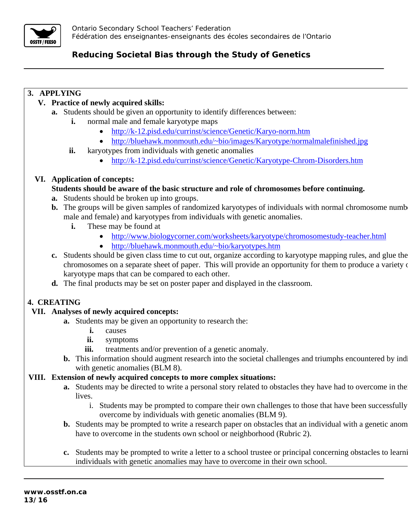

### **3. APPLYING**

## **V. Practice of newly acquired skills:**

- **a.** Students should be given an opportunity to identify differences between:
	- **i.** normal male and female karyotype maps
		- http://k-12.pisd.edu/currinst/science/Genetic/Karyo-norm.htm
		- http://bluehawk.monmouth.edu/~bio/images/Karyotype/normalmalefinished.jpg
	- ii. karyotypes from individuals with genetic anomalies
		- http://k-12.pisd.edu/currinst/science/Genetic/Karyotype-Chrom-Disorders.htm

### **VI. Application of concepts:**

### **Students should be aware of the basic structure and role of chromosomes before continuing.**

- **a.** Students should be broken up into groups.
- **b.** The groups will be given samples of randomized karyotypes of individuals with normal chromosome numb male and female) and karyotypes from individuals with genetic anomalies.
	- **i.** These may be found at
		- http://www.biologycorner.com/worksheets/karyotype/chromosomestudy-teacher.html
		- http://bluehawk.monmouth.edu/~bio/karyotypes.htm
- **c.** Students should be given class time to cut out, organize according to karyotype mapping rules, and glue the chromosomes on a separate sheet of paper. This will provide an opportunity for them to produce a variety of karyotype maps that can be compared to each other.
- **d.** The final products may be set on poster paper and displayed in the classroom.

### **4. CREATING**

### **VII. Analyses of newly acquired concepts:**

- **a.** Students may be given an opportunity to research the:
	- **i.** causes
	- **ii.** symptoms
	- **iii.** treatments and/or prevention of a genetic anomaly.
- **b.** This information should augment research into the societal challenges and triumphs encountered by ind with genetic anomalies (BLM 8).

### **VIII. Extension of newly acquired concepts to more complex situations:**

- **a.** Students may be directed to write a personal story related to obstacles they have had to overcome in the lives.
	- i. Students may be prompted to compare their own challenges to those that have been successfully overcome by individuals with genetic anomalies (BLM 9).
- **b.** Students may be prompted to write a research paper on obstacles that an individual with a genetic anom have to overcome in the students own school or neighborhood (Rubric 2).
- **c.** Students may be prompted to write a letter to a school trustee or principal concerning obstacles to learni individuals with genetic anomalies may have to overcome in their own school.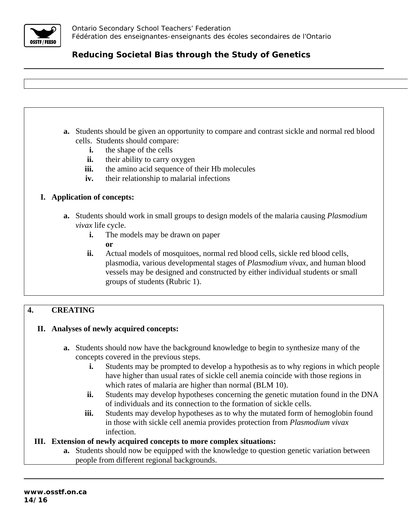



### **4. CREATING**

### **II. Analyses of newly acquired concepts:**

- **a.** Students should now have the background knowledge to begin to synthesize many of the concepts covered in the previous steps.
	- **i.** Students may be prompted to develop a hypothesis as to why regions in which people have higher than usual rates of sickle cell anemia coincide with those regions in which rates of malaria are higher than normal (BLM 10).
	- **ii.** Students may develop hypotheses concerning the genetic mutation found in the DNA of individuals and its connection to the formation of sickle cells.
	- **iii.** Students may develop hypotheses as to why the mutated form of hemoglobin found in those with sickle cell anemia provides protection from *Plasmodium vivax* infection.

### **III. Extension of newly acquired concepts to more complex situations:**

**a.** Students should now be equipped with the knowledge to question genetic variation between people from different regional backgrounds.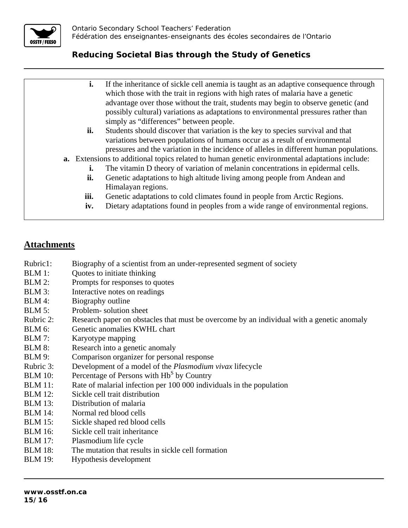

| i.                                                                                             | If the inheritance of sickle cell anemia is taught as an adaptive consequence through   |
|------------------------------------------------------------------------------------------------|-----------------------------------------------------------------------------------------|
|                                                                                                | which those with the trait in regions with high rates of malaria have a genetic         |
|                                                                                                | advantage over those without the trait, students may begin to observe genetic (and      |
|                                                                                                | possibly cultural) variations as adaptations to environmental pressures rather than     |
|                                                                                                | simply as "differences" between people.                                                 |
| ii.                                                                                            | Students should discover that variation is the key to species survival and that         |
|                                                                                                | variations between populations of humans occur as a result of environmental             |
|                                                                                                | pressures and the variation in the incidence of alleles in different human populations. |
| a. Extensions to additional topics related to human genetic environmental adaptations include: |                                                                                         |
|                                                                                                | The vitamin D theory of variation of melanin concentrations in epidermal cells.         |
| ii.                                                                                            | Genetic adaptations to high altitude living among people from Andean and                |
|                                                                                                | Himalayan regions.                                                                      |
| iii.                                                                                           | Genetic adaptations to cold climates found in people from Arctic Regions.               |
| iv.                                                                                            | Dietary adaptations found in peoples from a wide range of environmental regions.        |

## **Attachments**

- Rubric1: Biography of a scientist from an under-represented segment of society
- BLM 1: Quotes to initiate thinking
- BLM 2: Prompts for responses to quotes
- BLM 3: Interactive notes on readings
- BLM 4: Biography outline
- BLM 5: Problem- solution sheet
- Rubric 2: Research paper on obstacles that must be overcome by an individual with a genetic anomaly
- BLM 6: Genetic anomalies KWHL chart
- BLM 7: Karyotype mapping
- BLM 8: Research into a genetic anomaly
- BLM 9: Comparison organizer for personal response
- Rubric 3: Development of a model of the *Plasmodium vivax* lifecycle
- BLM 10: Percentage of Persons with  $Hb<sup>S</sup>$  by Country
- BLM 11: Rate of malarial infection per 100 000 individuals in the population
- BLM 12: Sickle cell trait distribution
- BLM 13: Distribution of malaria
- BLM 14: Normal red blood cells
- BLM 15: Sickle shaped red blood cells
- BLM 16: Sickle cell trait inheritance
- BLM 17: Plasmodium life cycle
- BLM 18: The mutation that results in sickle cell formation
- BLM 19: Hypothesis development